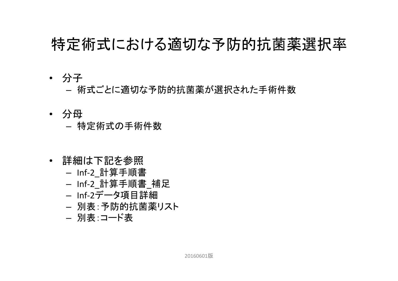#### 特定術式における適切な予防的抗菌薬選択率

- 分子
	- 術式ごとに適切な予防的抗菌薬が選択された手術件数
- 分母
	- 特定術式の手術件数
- 詳細は下記を参照
	- Inf-2\_計算手順書
	- Inf-2\_計算手順書\_補足
	- Inf‐2データ項目詳細
	- 別表:予防的抗菌薬リスト
	- 別表:コード表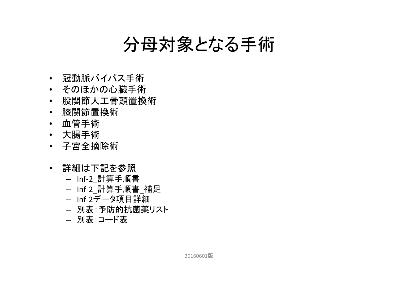### 分母対象となる手術

- 冠動脈バイパス手術
- そのほかの心臓手術
- 股関節人工骨頭置換術
- 膝関節置換術
- 血管手術
- 大腸手術
- 子宮全摘除術
- 詳細は下記を参照
	- Inf‐2\_計算手順書
	- Inf‐2\_計算手順書 \_ 補足
	- Inf‐2データ項目詳細
	- 別表:予防的抗菌薬リスト
	- 別表:コード表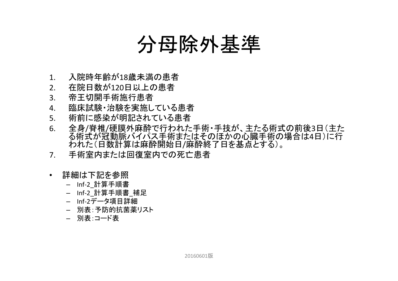## 分母除外基準

- 1.入院時年齢が18歳未満の患者
- 2.在院日数が120日以上の患者
- 3.帝王切開手術施行患者
- 4.臨床試験・治験を実施している患者
- 5.術前に感染が明記されている患者
- 6. 全身 /脊椎 /硬膜外麻酔で行われた手術・手技が、主たる術式の前後 3日(主た る術式が冠動脈バイパス手術またはそのほかの心臓手術の場合は 4日)に行 われた(日数計算は麻酔開始日 /麻酔終了日を基点とする)。
- 7.手術室内または回復室内での死亡患者
- 詳細は下記を参照
	- Inf‐2\_計算手順書
	- Inf-2 計算手順書 補足
	- Inf‐2データ項目詳細
	- 別表:予防的抗菌薬リスト
	- 別表:コード表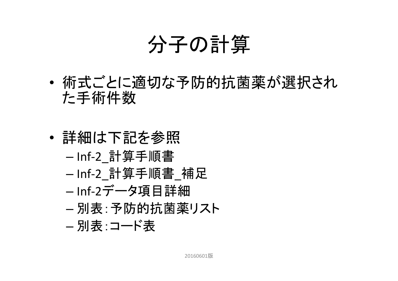# 分子の計算

- • 術式ごとに適切な予防的抗菌薬が選択され た手術件数
- • 詳細は下記を参照
	- –Inf‐2\_計算手順書
	- –-Inf-2\_計算手順書\_補足
	- –Inf‐2データ項目詳細
	- 別表:予防的抗菌薬リスト
	- –別表:コード表